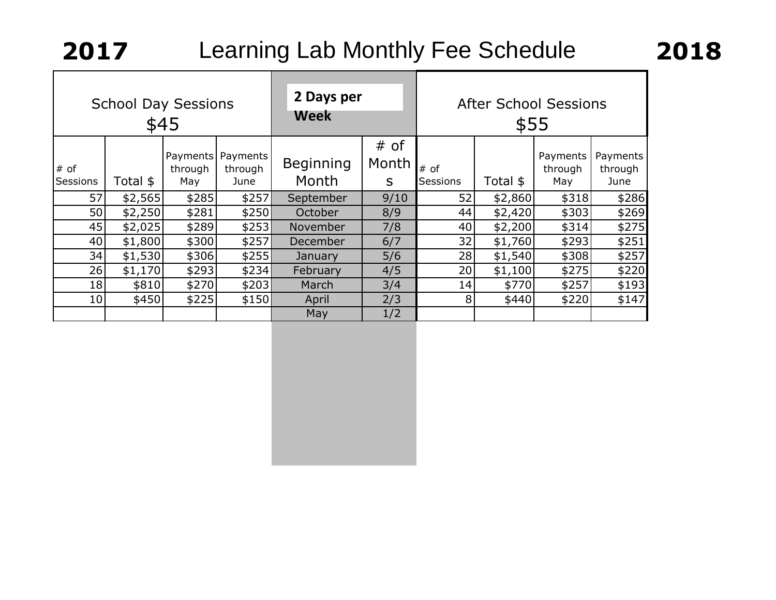|                  | <b>School Day Sessions</b> | \$45                       |                             | 2 Days per<br>Week        |                    | <b>After School Sessions</b><br>\$55 |          |                            |                             |
|------------------|----------------------------|----------------------------|-----------------------------|---------------------------|--------------------|--------------------------------------|----------|----------------------------|-----------------------------|
| # of<br>Sessions | Total \$                   | Payments<br>through<br>May | Payments<br>through<br>June | <b>Beginning</b><br>Month | # of<br>Month<br>S | # of<br>Sessions                     | Total \$ | Payments<br>through<br>May | Payments<br>through<br>June |
| 57               | \$2,565                    | \$285                      | \$257                       | September                 | 9/10               | 52                                   | \$2,860  | \$318                      | \$286                       |
| 50               | \$2,250                    | \$281                      | \$250                       | October                   | 8/9                | 44                                   | \$2,420  | \$303                      | \$269                       |
| 45               | \$2,025                    | \$289                      | \$253                       | November                  | 7/8                | 40                                   | \$2,200  | \$314                      | \$275                       |
| 40               | \$1,800                    | \$300                      | \$257                       | December                  | 6/7                | 32                                   | \$1,760  | \$293                      | \$251                       |
| 34               | \$1,530                    | \$306                      | \$255                       | January                   | 5/6                | 28                                   | \$1,540  | \$308                      | \$257                       |
| 26               | \$1,170                    | \$293                      | \$234]                      | February                  | 4/5                | 20 <sub>l</sub>                      | \$1,100  | \$275                      | \$220                       |
| 18               | \$810                      | \$270                      | \$203                       | March                     | 3/4                | 14                                   | \$770    | \$257                      | \$193                       |
| 10               | \$450                      | \$225                      | \$150                       | April                     | 2/3                | 8 <sup>1</sup>                       | \$440    | \$220                      | \$147                       |
|                  |                            |                            |                             | May                       | 1/2                |                                      |          |                            |                             |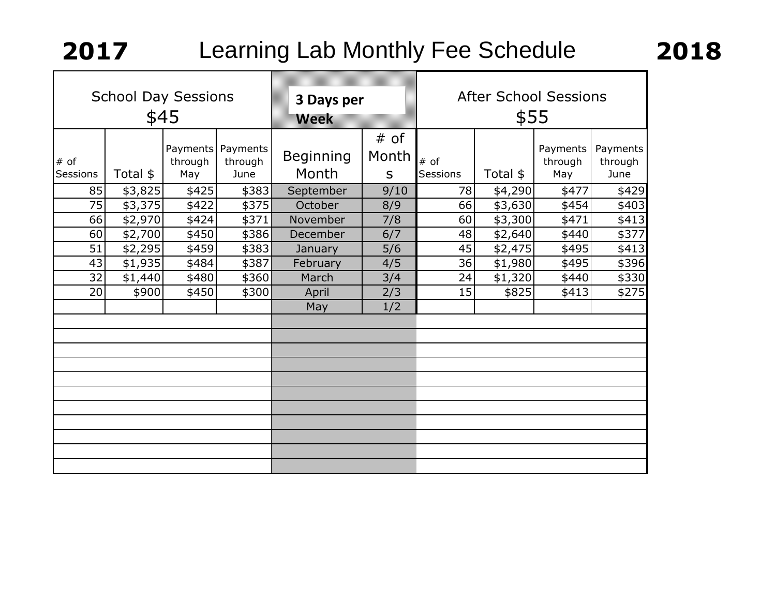| <b>School Day Sessions</b><br>\$45 |                                  |                                                                                    |                                              | 3 Days per<br>wesk                                                      |                  | <b>After School Sessions</b><br>\$55 |                            |                                      |  |
|------------------------------------|----------------------------------|------------------------------------------------------------------------------------|----------------------------------------------|-------------------------------------------------------------------------|------------------|--------------------------------------|----------------------------|--------------------------------------|--|
| Total \$                           | through<br>May                   | Payments<br>through<br>June                                                        | <b>Beginning</b><br>Month                    | # of<br>Month<br>S                                                      | # of<br>Sessions | Total \$                             | Payments<br>through<br>May | Payments<br>through<br>June          |  |
|                                    |                                  |                                                                                    | September                                    | 9/10                                                                    | 78               |                                      | \$477                      | \$429                                |  |
|                                    | \$422                            |                                                                                    | October                                      | 8/9                                                                     | 66               | \$3,630                              | \$454                      | \$403                                |  |
|                                    | \$424                            | \$371                                                                              | November                                     | 7/8                                                                     | 60               | \$3,300                              | \$471                      | \$413                                |  |
|                                    |                                  |                                                                                    | December                                     | 6/7                                                                     | 48               | \$2,640                              | \$440                      | \$377                                |  |
|                                    | \$459                            |                                                                                    | January                                      | 5/6                                                                     | 45               | \$2,475                              |                            | \$413                                |  |
|                                    | \$484                            |                                                                                    | February                                     | 4/5                                                                     | 36               | \$1,980                              | \$495                      | \$396                                |  |
|                                    |                                  |                                                                                    |                                              | 3/4                                                                     |                  |                                      | \$440                      | \$330                                |  |
|                                    |                                  |                                                                                    | April                                        |                                                                         |                  |                                      |                            | \$275                                |  |
|                                    |                                  |                                                                                    | May                                          | 1/2                                                                     |                  |                                      |                            |                                      |  |
|                                    |                                  |                                                                                    |                                              |                                                                         |                  |                                      |                            |                                      |  |
|                                    |                                  |                                                                                    |                                              |                                                                         |                  |                                      |                            |                                      |  |
|                                    |                                  |                                                                                    |                                              |                                                                         |                  |                                      |                            |                                      |  |
|                                    |                                  |                                                                                    |                                              |                                                                         |                  |                                      |                            |                                      |  |
|                                    |                                  |                                                                                    |                                              |                                                                         |                  |                                      |                            |                                      |  |
|                                    |                                  |                                                                                    |                                              |                                                                         |                  |                                      |                            |                                      |  |
|                                    |                                  |                                                                                    |                                              |                                                                         |                  |                                      |                            |                                      |  |
|                                    |                                  |                                                                                    |                                              |                                                                         |                  |                                      |                            |                                      |  |
|                                    |                                  |                                                                                    |                                              |                                                                         |                  |                                      |                            |                                      |  |
|                                    |                                  |                                                                                    |                                              |                                                                         |                  |                                      |                            |                                      |  |
| 43                                 | 85<br>75<br>66<br>60<br>32<br>20 | \$3,825<br>\$3,375<br>\$2,970<br>\$2,700<br>\$2,295<br>\$1,935<br>\$1,440<br>\$900 | Payments<br>\$425<br>\$450<br>\$480<br>\$450 | \$383<br>\$375]<br>\$386<br>\$383]<br>\$387<br>\$360]<br>March<br>\$300 | 2/3              | 24<br>15                             | \$825                      | \$4,290<br>\$495<br>\$1,320<br>\$413 |  |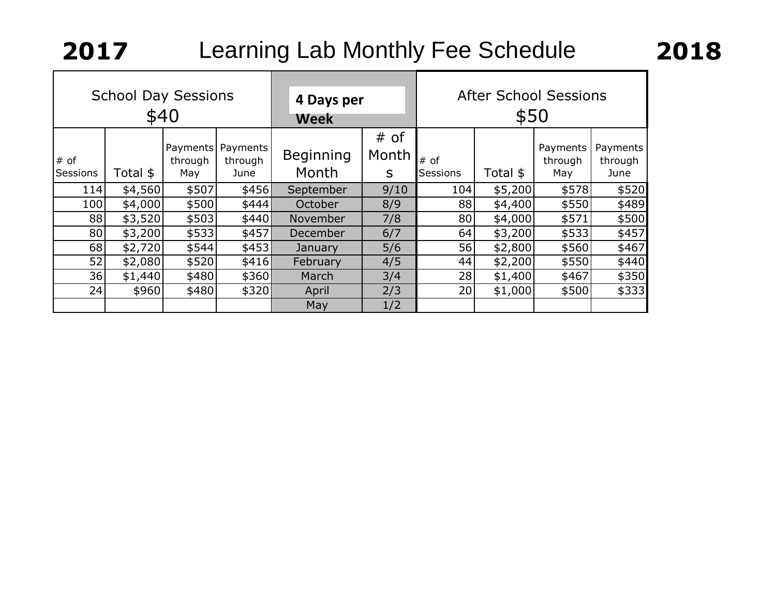| <b>School Day Sessions</b><br>\$40 |          |                            | 4 Days per<br>Week          |                           | <b>After School Sessions</b><br>\$50 |                         |          |                            |                             |
|------------------------------------|----------|----------------------------|-----------------------------|---------------------------|--------------------------------------|-------------------------|----------|----------------------------|-----------------------------|
| # of<br>Sessions                   | Total \$ | Payments<br>through<br>May | Payments<br>through<br>June | <b>Beginning</b><br>Month | # of<br>Month<br>S                   | # of<br><b>Sessions</b> | Total \$ | Payments<br>through<br>May | Payments<br>through<br>June |
| 114                                | \$4,560  | \$507                      | \$456]                      | September                 | 9/10                                 | 104                     | \$5,200  | \$578                      | \$520                       |
| 100                                | \$4,000  | \$500                      | \$444                       | October                   | 8/9                                  | 88                      | \$4,400  | \$550                      | \$489                       |
| 88                                 | \$3,520  | \$503                      | \$440]                      | November                  | 7/8                                  | 80 <sup>1</sup>         | \$4,000  | \$571                      | \$500                       |
| 80                                 | \$3,200  | \$533                      | \$457                       | December                  | 6/7                                  | 64                      | \$3,200  | \$533                      | \$457                       |
| 68                                 | \$2,720  | \$544                      | \$453]                      | January                   | 5/6                                  | 56                      | \$2,800  | \$560                      | \$467                       |
| 52                                 | \$2,080  | \$520                      | \$416                       | February                  | 4/5                                  | 44                      | \$2,200  | \$550                      | \$440                       |
| 36                                 | \$1,440  | \$480                      | \$360]                      | March                     | 3/4                                  | 28                      | \$1,400  | \$467                      | \$350                       |
| 24                                 | \$960    | \$480                      | \$320                       | April                     | 2/3                                  | 20                      | \$1,000  | \$500                      | \$333                       |
|                                    |          |                            |                             | May                       | 1/2                                  |                         |          |                            |                             |